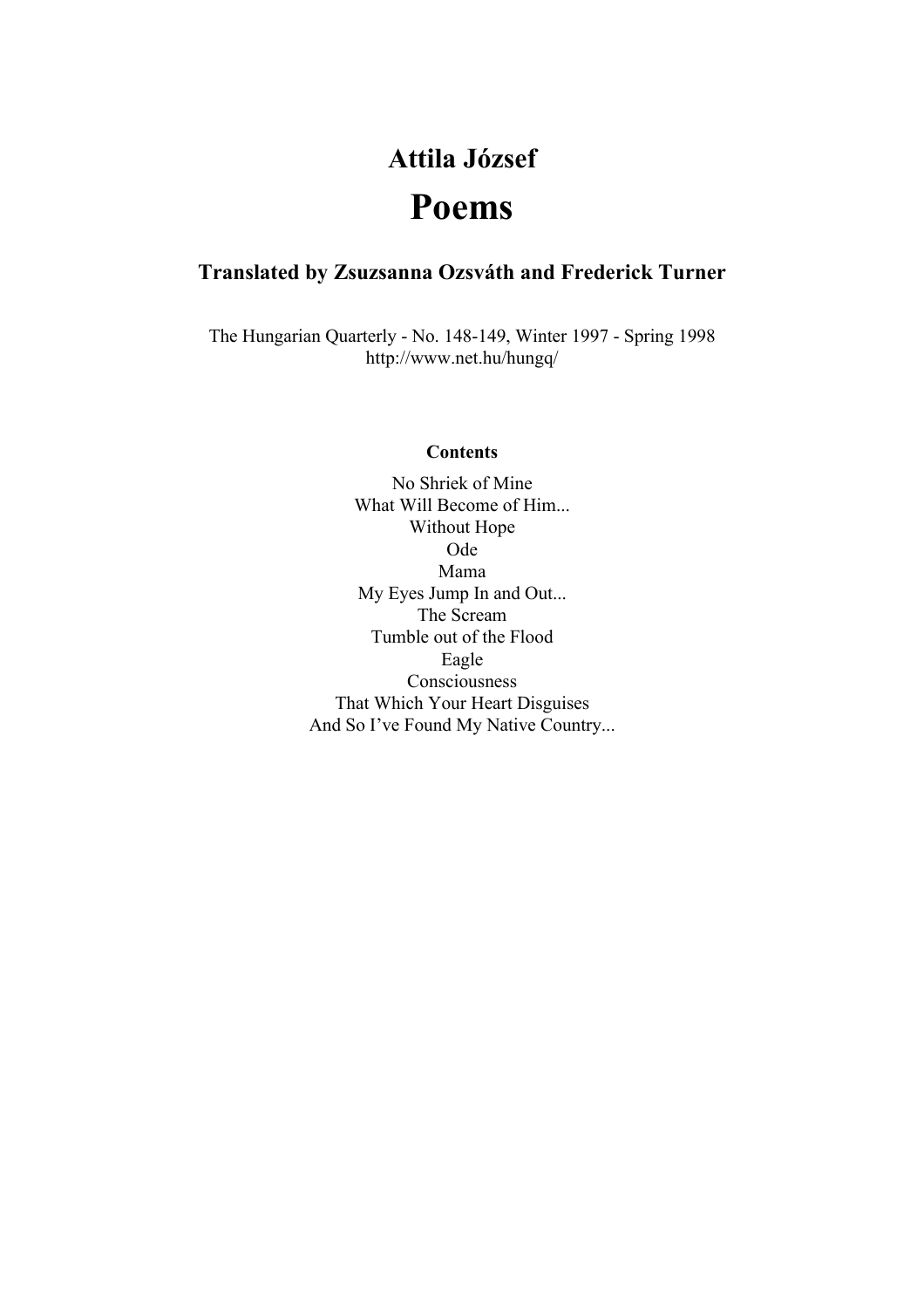# **Attila József Poems**

# **Translated by Zsuzsanna Ozsváth and Frederick Turner**

The Hungarian Quarterly - No. 148-149, Winter 1997 - Spring 1998 http://www.net.hu/hungq/

#### **Contents**

No Shriek of Mine What Will Become of Him... Without Hope Ode Mama My Eyes Jump In and Out... The Scream Tumble out of the Flood Eagle Consciousness That Which Your Heart Disguises And So I've Found My Native Country...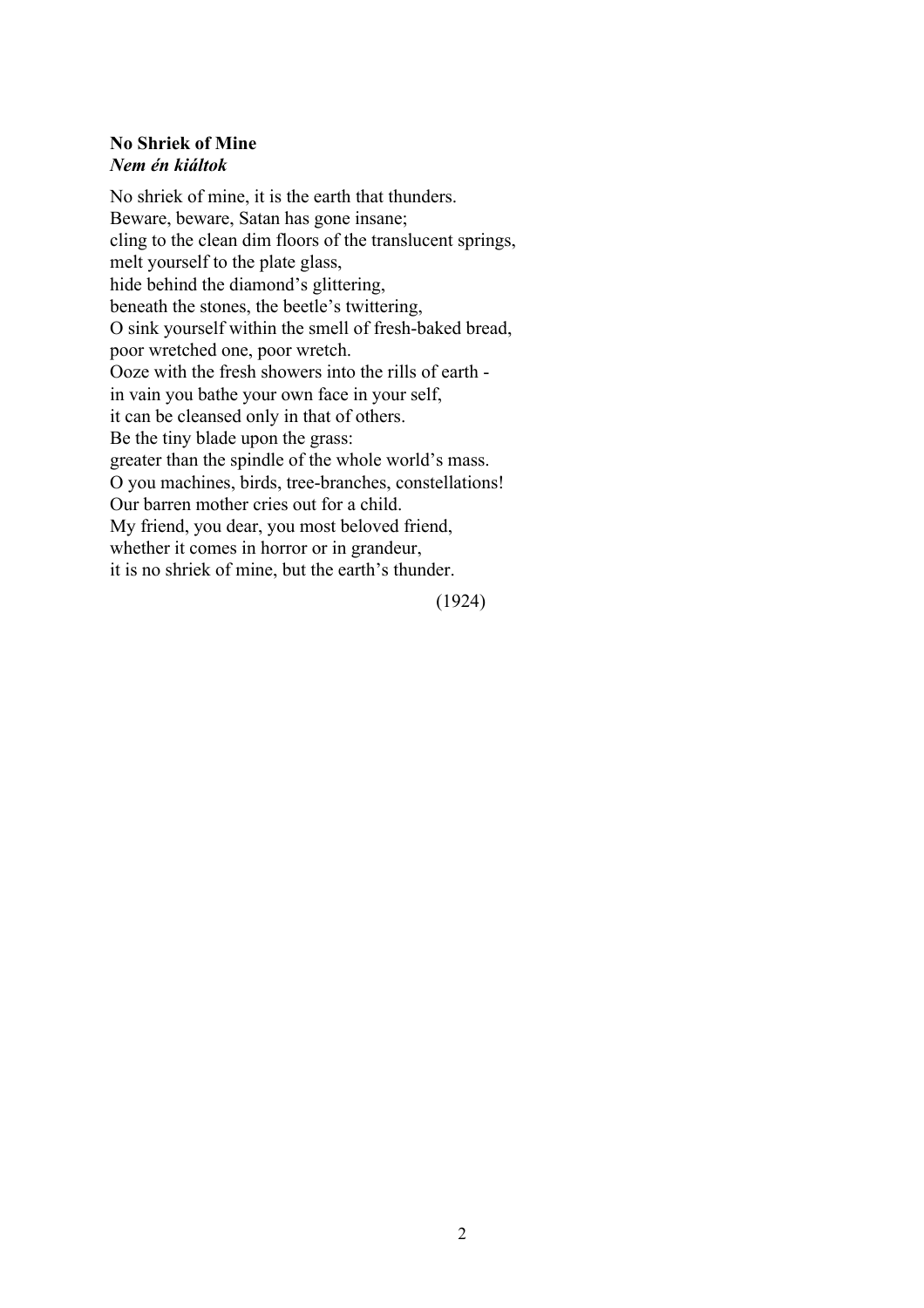# **No Shriek of Mine** *Nem én kiáltok*

No shriek of mine, it is the earth that thunders. Beware, beware, Satan has gone insane; cling to the clean dim floors of the translucent springs, melt yourself to the plate glass, hide behind the diamond's glittering, beneath the stones, the beetle's twittering, O sink yourself within the smell of fresh-baked bread, poor wretched one, poor wretch. Ooze with the fresh showers into the rills of earth in vain you bathe your own face in your self, it can be cleansed only in that of others. Be the tiny blade upon the grass: greater than the spindle of the whole world's mass. O you machines, birds, tree-branches, constellations! Our barren mother cries out for a child. My friend, you dear, you most beloved friend, whether it comes in horror or in grandeur, it is no shriek of mine, but the earth's thunder.

(1924)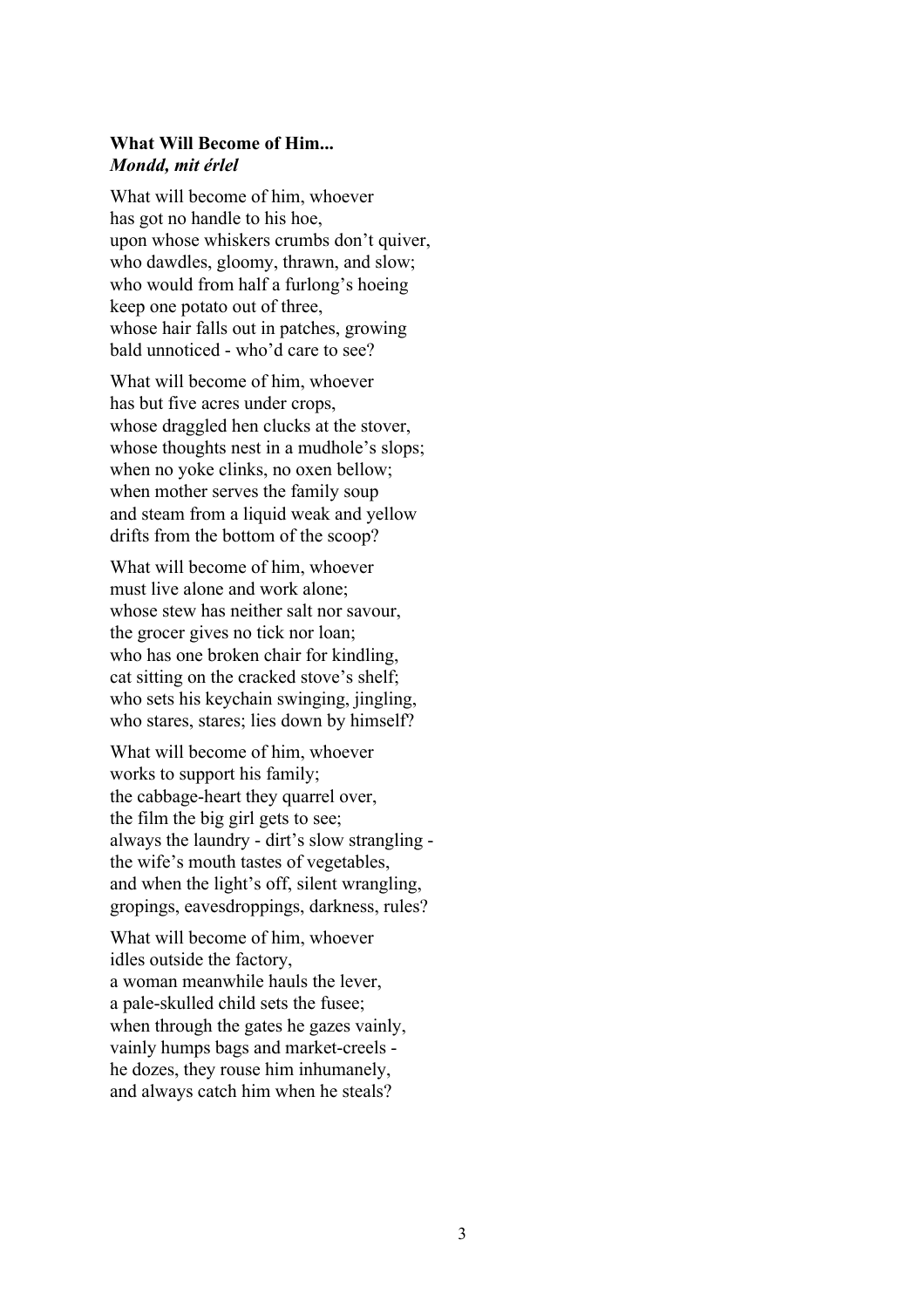## **What Will Become of Him...** *Mondd, mit érlel*

What will become of him, whoever has got no handle to his hoe, upon whose whiskers crumbs don't quiver, who dawdles, gloomy, thrawn, and slow; who would from half a furlong's hoeing keep one potato out of three, whose hair falls out in patches, growing bald unnoticed - who'd care to see?

What will become of him, whoever has but five acres under crops, whose draggled hen clucks at the stover, whose thoughts nest in a mudhole's slops; when no yoke clinks, no oxen bellow; when mother serves the family soup and steam from a liquid weak and yellow drifts from the bottom of the scoop?

What will become of him, whoever must live alone and work alone; whose stew has neither salt nor savour, the grocer gives no tick nor loan; who has one broken chair for kindling, cat sitting on the cracked stove's shelf; who sets his keychain swinging, jingling, who stares, stares; lies down by himself?

What will become of him, whoever works to support his family; the cabbage-heart they quarrel over, the film the big girl gets to see; always the laundry - dirt's slow strangling the wife's mouth tastes of vegetables, and when the light's off, silent wrangling, gropings, eavesdroppings, darkness, rules?

What will become of him, whoever idles outside the factory, a woman meanwhile hauls the lever, a pale-skulled child sets the fusee; when through the gates he gazes vainly, vainly humps bags and market-creels he dozes, they rouse him inhumanely, and always catch him when he steals?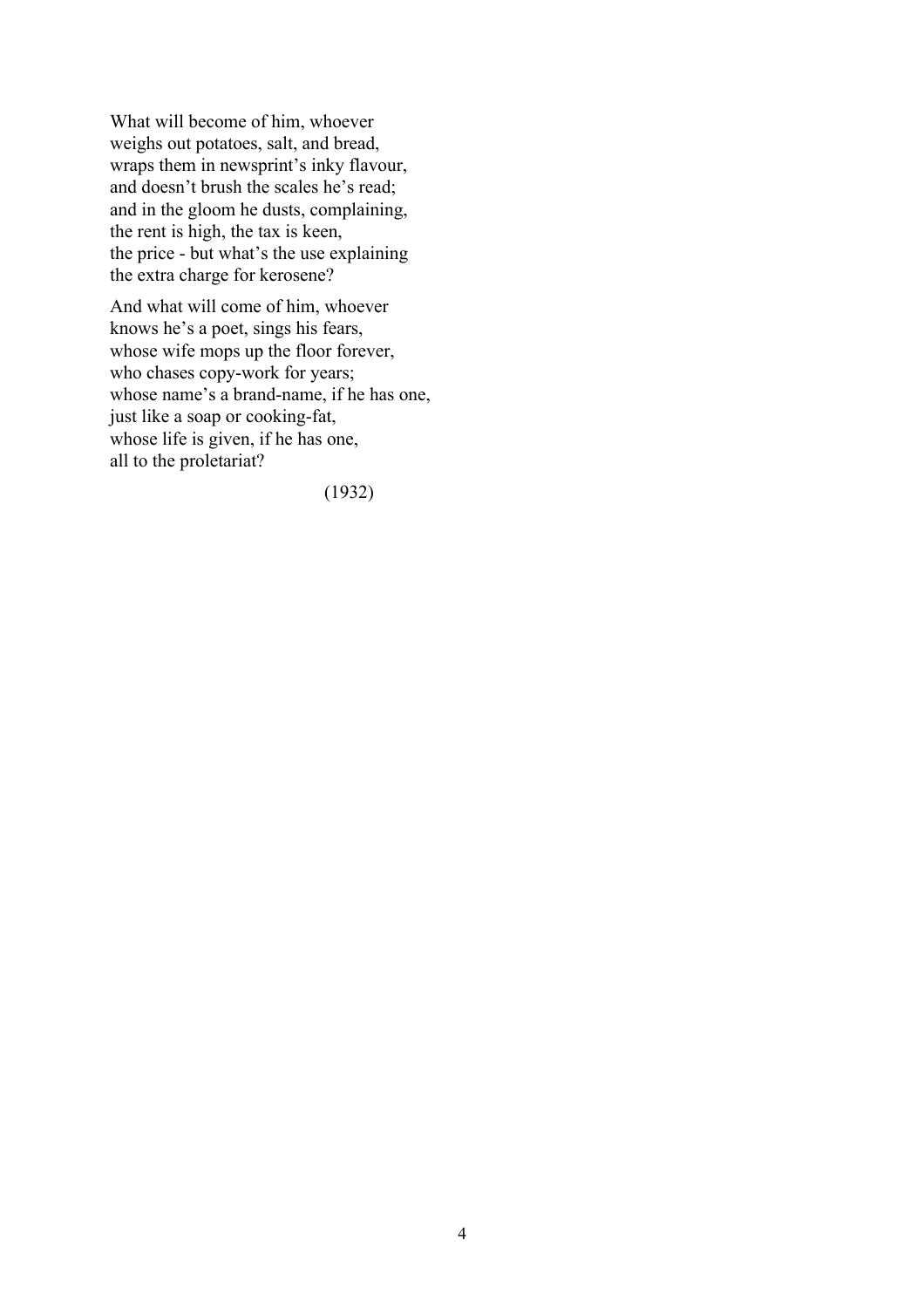What will become of him, whoever weighs out potatoes, salt, and bread, wraps them in newsprint's inky flavour, and doesn't brush the scales he's read; and in the gloom he dusts, complaining, the rent is high, the tax is keen, the price - but what's the use explaining the extra charge for kerosene?

And what will come of him, whoever knows he's a poet, sings his fears, whose wife mops up the floor forever, who chases copy-work for years; whose name's a brand-name, if he has one, just like a soap or cooking-fat, whose life is given, if he has one, all to the proletariat?

(1932)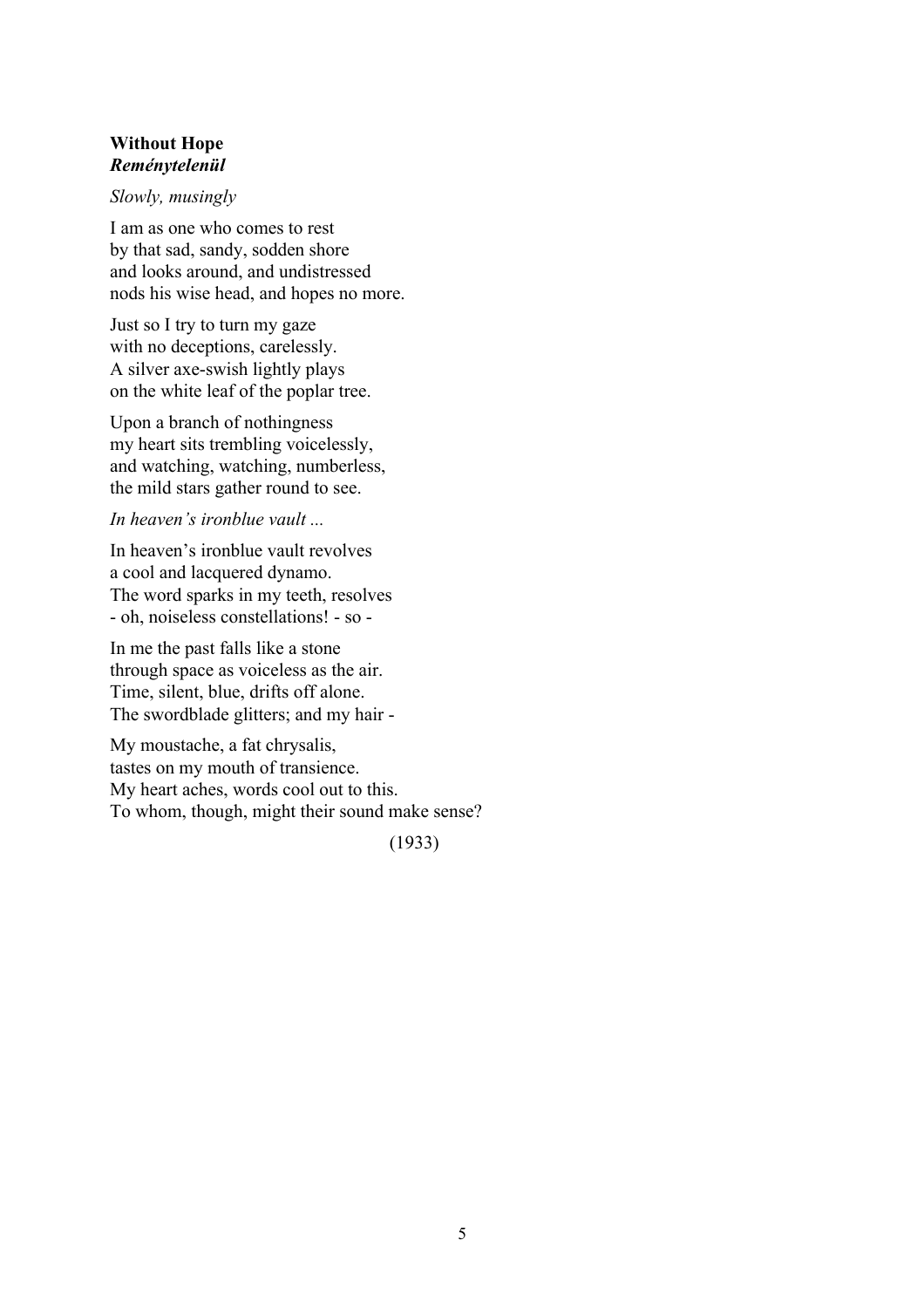## **Without Hope** *Reménytelenül*

#### *Slowly, musingly*

I am as one who comes to rest by that sad, sandy, sodden shore and looks around, and undistressed nods his wise head, and hopes no more.

Just so I try to turn my gaze with no deceptions, carelessly. A silver axe-swish lightly plays on the white leaf of the poplar tree.

Upon a branch of nothingness my heart sits trembling voicelessly, and watching, watching, numberless, the mild stars gather round to see.

#### *In heaven's ironblue vault ...*

In heaven's ironblue vault revolves a cool and lacquered dynamo. The word sparks in my teeth, resolves - oh, noiseless constellations! - so -

In me the past falls like a stone through space as voiceless as the air. Time, silent, blue, drifts off alone. The swordblade glitters; and my hair -

My moustache, a fat chrysalis, tastes on my mouth of transience. My heart aches, words cool out to this. To whom, though, might their sound make sense?

(1933)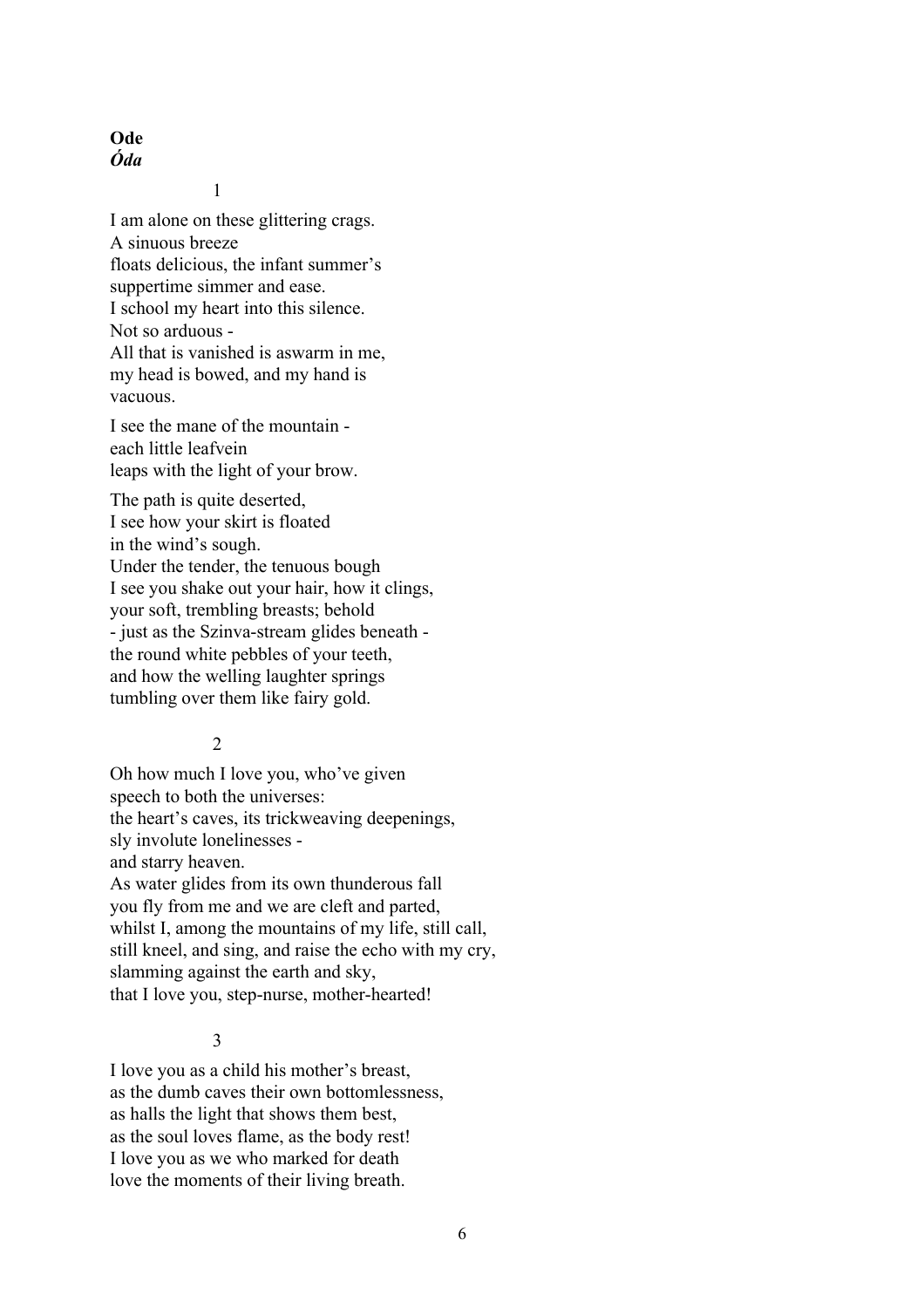# **Ode** *Óda*

1

I am alone on these glittering crags. A sinuous breeze floats delicious, the infant summer's suppertime simmer and ease. I school my heart into this silence. Not so arduous - All that is vanished is aswarm in me, my head is bowed, and my hand is vacuous.

I see the mane of the mountain each little leafvein leaps with the light of your brow.

The path is quite deserted, I see how your skirt is floated in the wind's sough. Under the tender, the tenuous bough I see you shake out your hair, how it clings, your soft, trembling breasts; behold - just as the Szinva-stream glides beneath the round white pebbles of your teeth, and how the welling laughter springs tumbling over them like fairy gold.

#### 2

Oh how much I love you, who've given speech to both the universes: the heart's caves, its trickweaving deepenings, sly involute lonelinesses and starry heaven. As water glides from its own thunderous fall you fly from me and we are cleft and parted, whilst I, among the mountains of my life, still call, still kneel, and sing, and raise the echo with my cry,

slamming against the earth and sky,

that I love you, step-nurse, mother-hearted!

## 3

I love you as a child his mother's breast, as the dumb caves their own bottomlessness, as halls the light that shows them best, as the soul loves flame, as the body rest! I love you as we who marked for death love the moments of their living breath.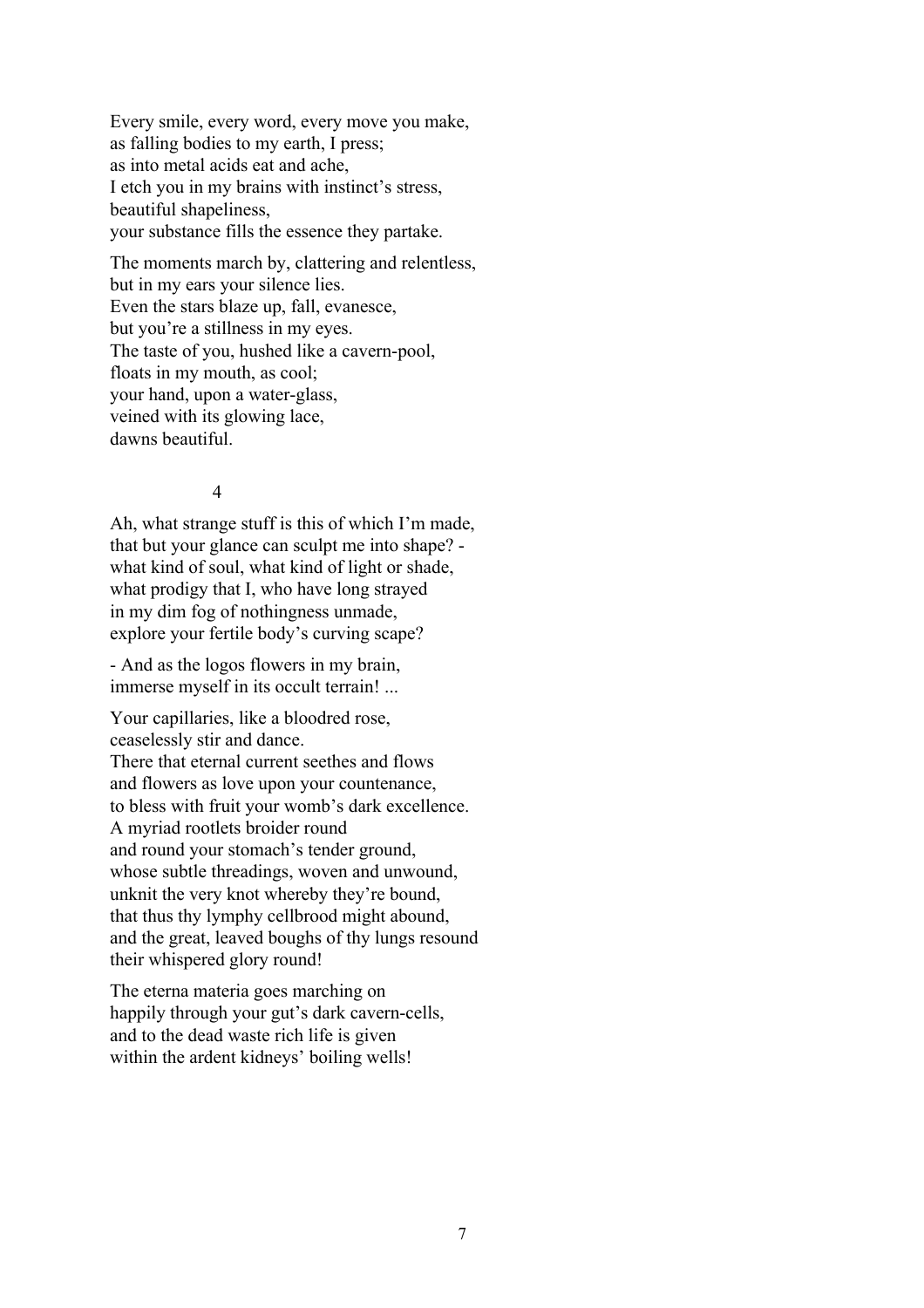Every smile, every word, every move you make, as falling bodies to my earth, I press; as into metal acids eat and ache, I etch you in my brains with instinct's stress, beautiful shapeliness, your substance fills the essence they partake.

The moments march by, clattering and relentless, but in my ears your silence lies. Even the stars blaze up, fall, evanesce, but you're a stillness in my eyes. The taste of you, hushed like a cavern-pool, floats in my mouth, as cool; your hand, upon a water-glass, veined with its glowing lace, dawns beautiful.

# 4

Ah, what strange stuff is this of which I'm made, that but your glance can sculpt me into shape? what kind of soul, what kind of light or shade, what prodigy that I, who have long strayed in my dim fog of nothingness unmade, explore your fertile body's curving scape?

- And as the logos flowers in my brain, immerse myself in its occult terrain! ...

Your capillaries, like a bloodred rose, ceaselessly stir and dance. There that eternal current seethes and flows and flowers as love upon your countenance, to bless with fruit your womb's dark excellence. A myriad rootlets broider round and round your stomach's tender ground, whose subtle threadings, woven and unwound, unknit the very knot whereby they're bound, that thus thy lymphy cellbrood might abound, and the great, leaved boughs of thy lungs resound their whispered glory round!

The eterna materia goes marching on happily through your gut's dark cavern-cells, and to the dead waste rich life is given within the ardent kidneys' boiling wells!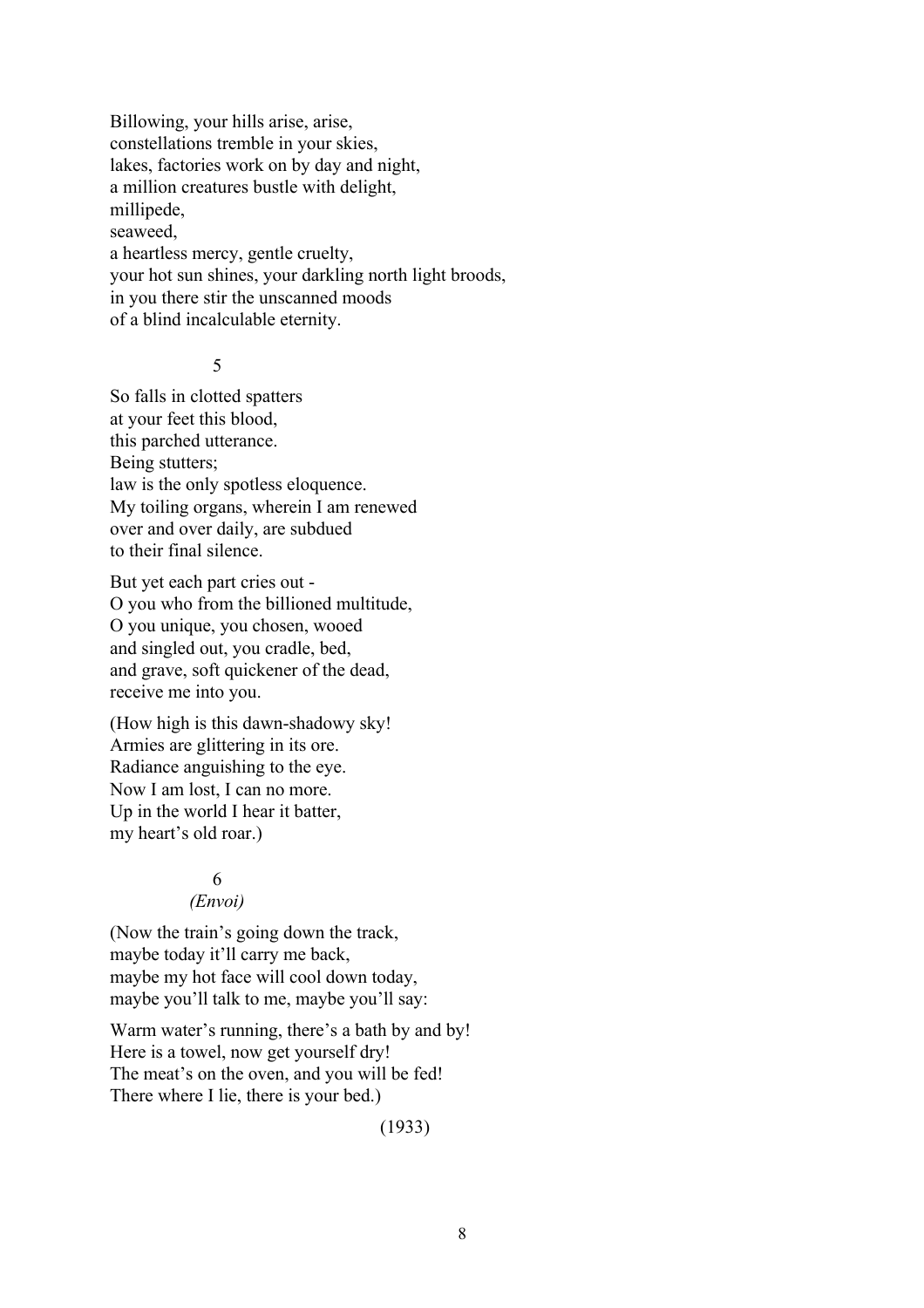Billowing, your hills arise, arise, constellations tremble in your skies, lakes, factories work on by day and night, a million creatures bustle with delight, millipede, seaweed, a heartless mercy, gentle cruelty, your hot sun shines, your darkling north light broods, in you there stir the unscanned moods of a blind incalculable eternity.

#### 5

So falls in clotted spatters at your feet this blood, this parched utterance. Being stutters; law is the only spotless eloquence. My toiling organs, wherein I am renewed over and over daily, are subdued to their final silence.

But yet each part cries out - O you who from the billioned multitude, O you unique, you chosen, wooed and singled out, you cradle, bed, and grave, soft quickener of the dead, receive me into you.

(How high is this dawn-shadowy sky! Armies are glittering in its ore. Radiance anguishing to the eye. Now I am lost, I can no more. Up in the world I hear it batter, my heart's old roar.)

### 6

#### *(Envoi)*

(Now the train's going down the track, maybe today it'll carry me back, maybe my hot face will cool down today, maybe you'll talk to me, maybe you'll say:

Warm water's running, there's a bath by and by! Here is a towel, now get yourself dry! The meat's on the oven, and you will be fed! There where I lie, there is your bed.)

(1933)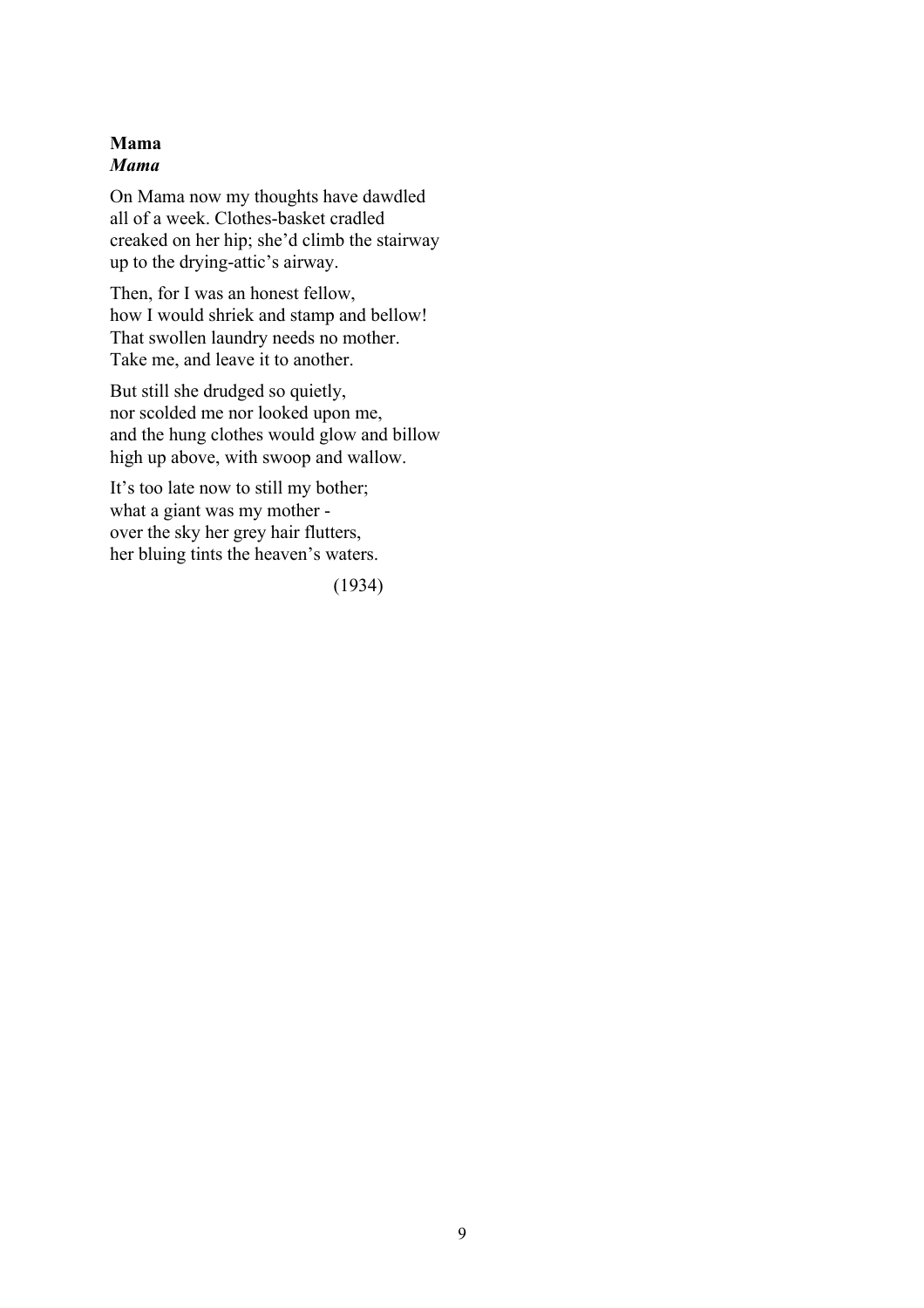# **Mama** *Mama*

On Mama now my thoughts have dawdled all of a week. Clothes-basket cradled creaked on her hip; she'd climb the stairway up to the drying-attic's airway.

Then, for I was an honest fellow, how I would shriek and stamp and bellow! That swollen laundry needs no mother. Take me, and leave it to another.

But still she drudged so quietly, nor scolded me nor looked upon me, and the hung clothes would glow and billow high up above, with swoop and wallow.

It's too late now to still my bother; what a giant was my mother over the sky her grey hair flutters, her bluing tints the heaven's waters.

(1934)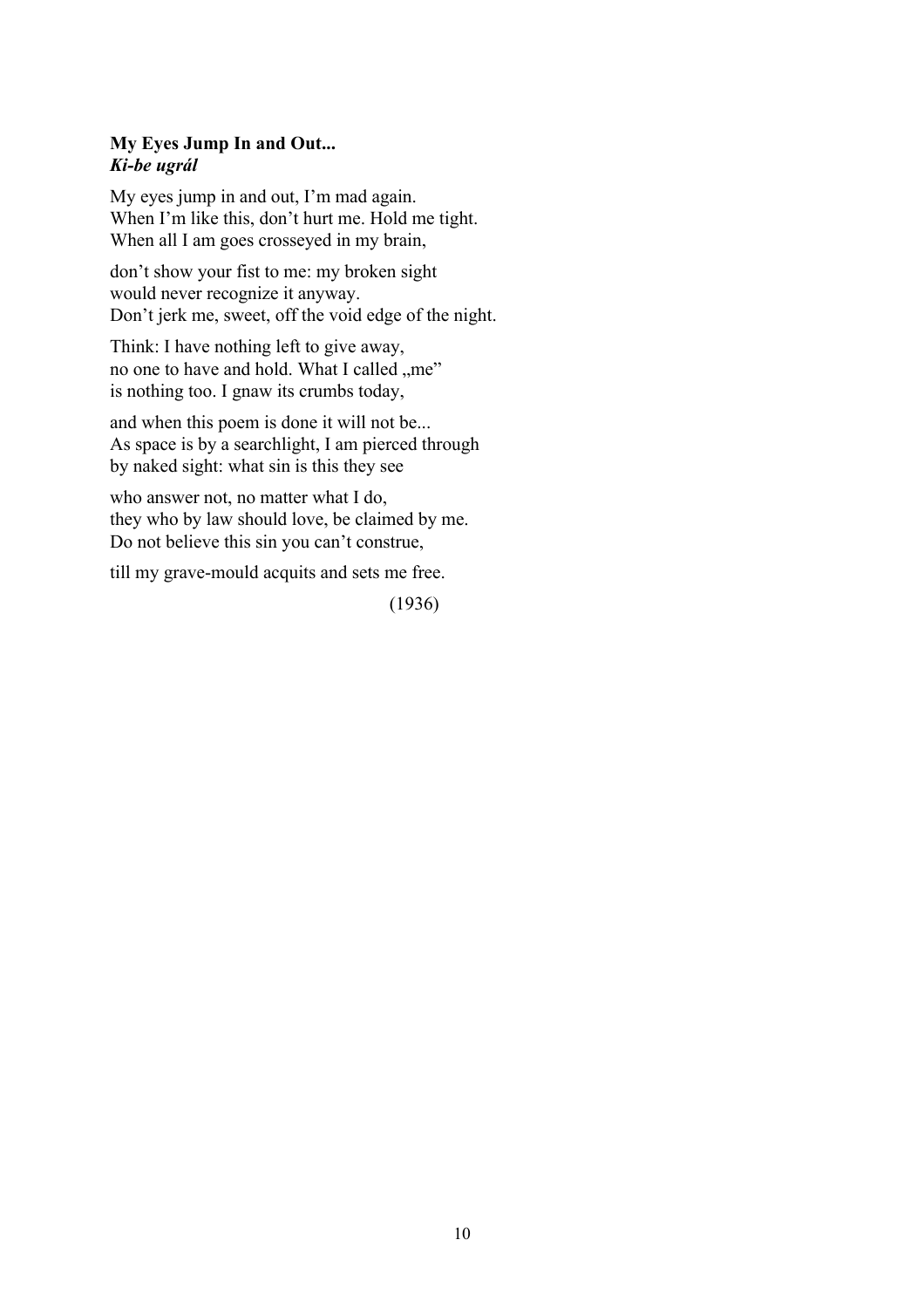# **My Eyes Jump In and Out...** *Ki-be ugrál*

My eyes jump in and out, I'm mad again. When I'm like this, don't hurt me. Hold me tight. When all I am goes crosseyed in my brain,

don't show your fist to me: my broken sight would never recognize it anyway. Don't jerk me, sweet, off the void edge of the night.

Think: I have nothing left to give away, no one to have and hold. What I called "me" is nothing too. I gnaw its crumbs today,

and when this poem is done it will not be... As space is by a searchlight, I am pierced through by naked sight: what sin is this they see

who answer not, no matter what I do, they who by law should love, be claimed by me. Do not believe this sin you can't construe,

till my grave-mould acquits and sets me free.

(1936)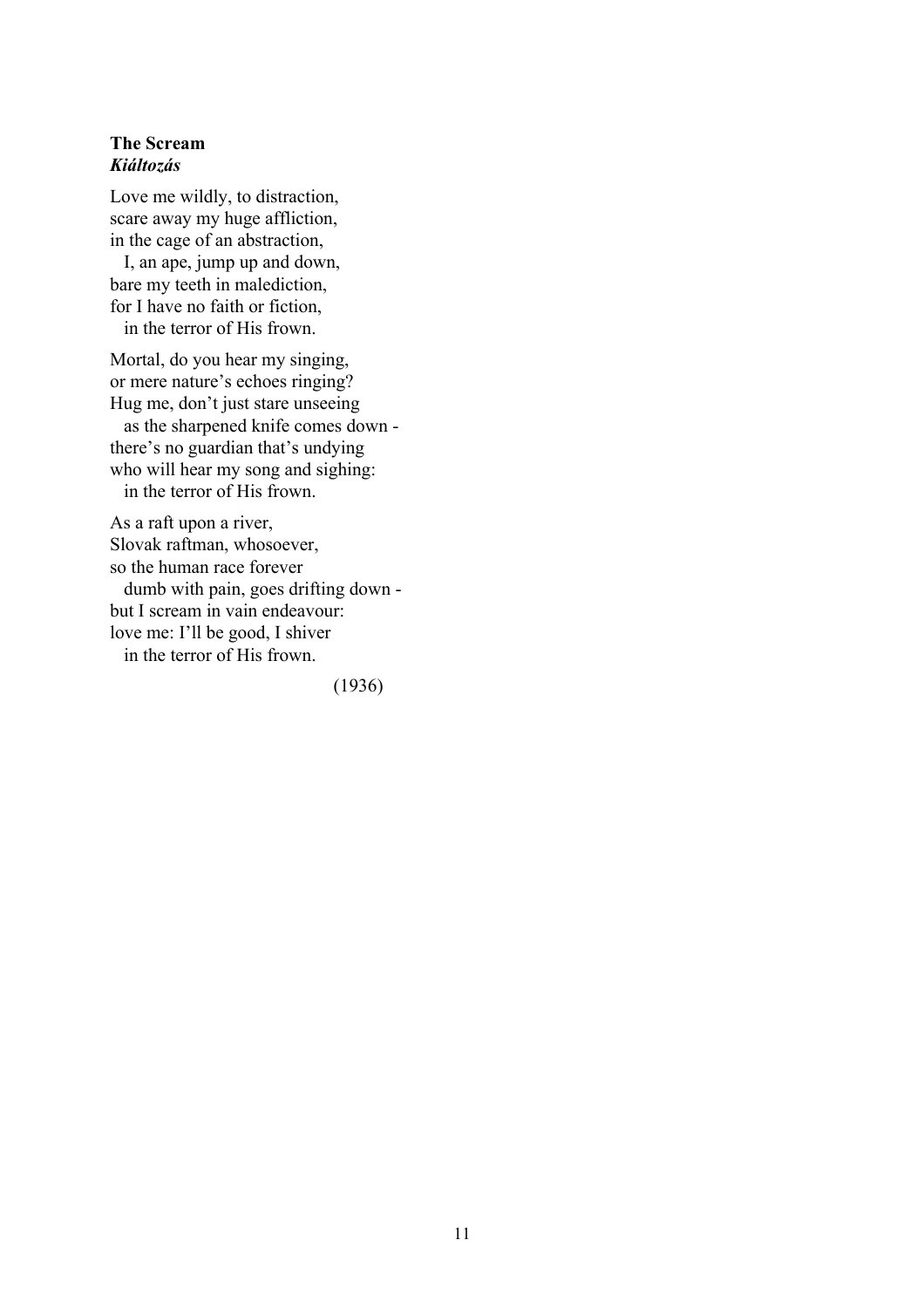#### **The Scream** *Kiáltozás*

Love me wildly, to distraction, scare away my huge affliction, in the cage of an abstraction,

 I, an ape, jump up and down, bare my teeth in malediction, for I have no faith or fiction,

in the terror of His frown.

Mortal, do you hear my singing, or mere nature's echoes ringing? Hug me, don't just stare unseeing as the sharpened knife comes down -

there's no guardian that's undying who will hear my song and sighing: in the terror of His frown.

As a raft upon a river, Slovak raftman, whosoever, so the human race forever dumb with pain, goes drifting down but I scream in vain endeavour: love me: I'll be good, I shiver in the terror of His frown.

(1936)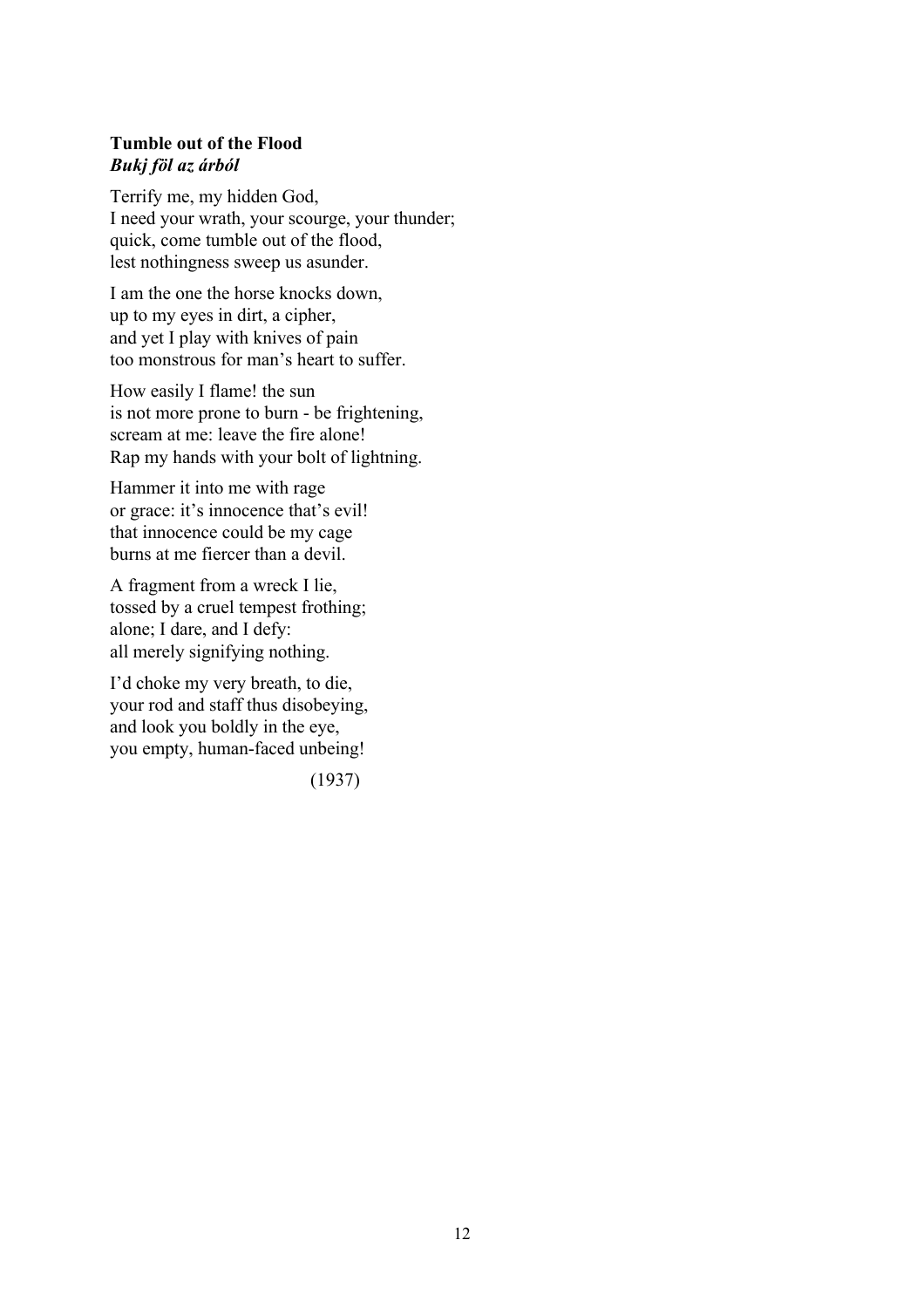# **Tumble out of the Flood** *Bukj föl az árból*

Terrify me, my hidden God, I need your wrath, your scourge, your thunder; quick, come tumble out of the flood, lest nothingness sweep us asunder.

I am the one the horse knocks down, up to my eyes in dirt, a cipher, and yet I play with knives of pain too monstrous for man's heart to suffer.

How easily I flame! the sun is not more prone to burn - be frightening, scream at me: leave the fire alone! Rap my hands with your bolt of lightning.

Hammer it into me with rage or grace: it's innocence that's evil! that innocence could be my cage burns at me fiercer than a devil.

A fragment from a wreck I lie, tossed by a cruel tempest frothing; alone; I dare, and I defy: all merely signifying nothing.

I'd choke my very breath, to die, your rod and staff thus disobeying, and look you boldly in the eye, you empty, human-faced unbeing!

(1937)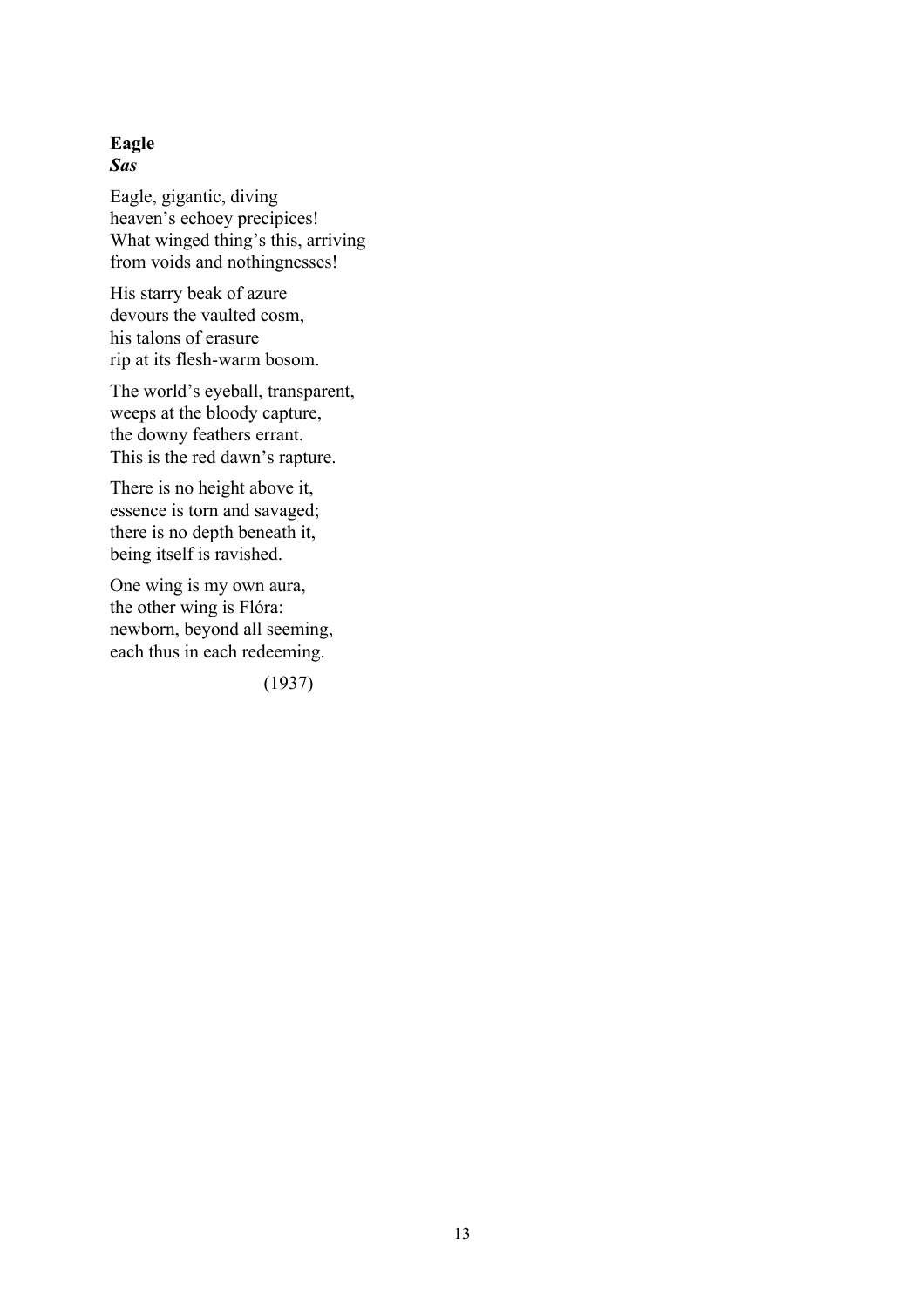### **Eagle** *Sas*

Eagle, gigantic, diving heaven's echoey precipices! What winged thing's this, arriving from voids and nothingnesses!

His starry beak of azure devours the vaulted cosm, his talons of erasure rip at its flesh-warm bosom.

The world's eyeball, transparent, weeps at the bloody capture, the downy feathers errant. This is the red dawn's rapture.

There is no height above it, essence is torn and savaged; there is no depth beneath it, being itself is ravished.

One wing is my own aura, the other wing is Flóra: newborn, beyond all seeming, each thus in each redeeming.

(1937)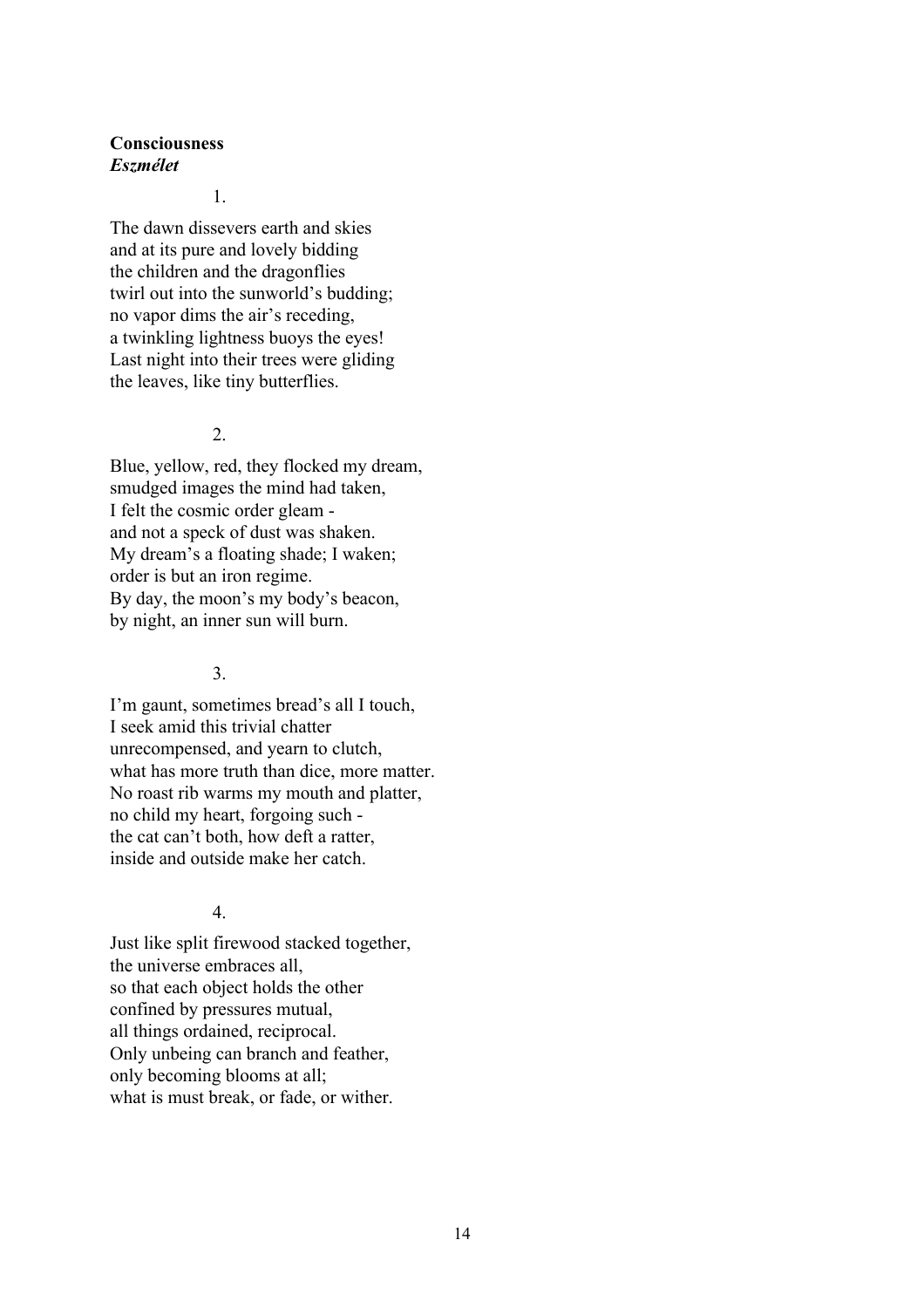## **Consciousness** *Eszmélet*

1.

The dawn dissevers earth and skies and at its pure and lovely bidding the children and the dragonflies twirl out into the sunworld's budding; no vapor dims the air's receding, a twinkling lightness buoys the eyes! Last night into their trees were gliding the leaves, like tiny butterflies.

### 2.

Blue, yellow, red, they flocked my dream, smudged images the mind had taken, I felt the cosmic order gleam and not a speck of dust was shaken. My dream's a floating shade; I waken; order is but an iron regime. By day, the moon's my body's beacon, by night, an inner sun will burn.

# 3.

I'm gaunt, sometimes bread's all I touch, I seek amid this trivial chatter unrecompensed, and yearn to clutch, what has more truth than dice, more matter. No roast rib warms my mouth and platter, no child my heart, forgoing such the cat can't both, how deft a ratter, inside and outside make her catch.

# 4.

Just like split firewood stacked together, the universe embraces all, so that each object holds the other confined by pressures mutual, all things ordained, reciprocal. Only unbeing can branch and feather, only becoming blooms at all; what is must break, or fade, or wither.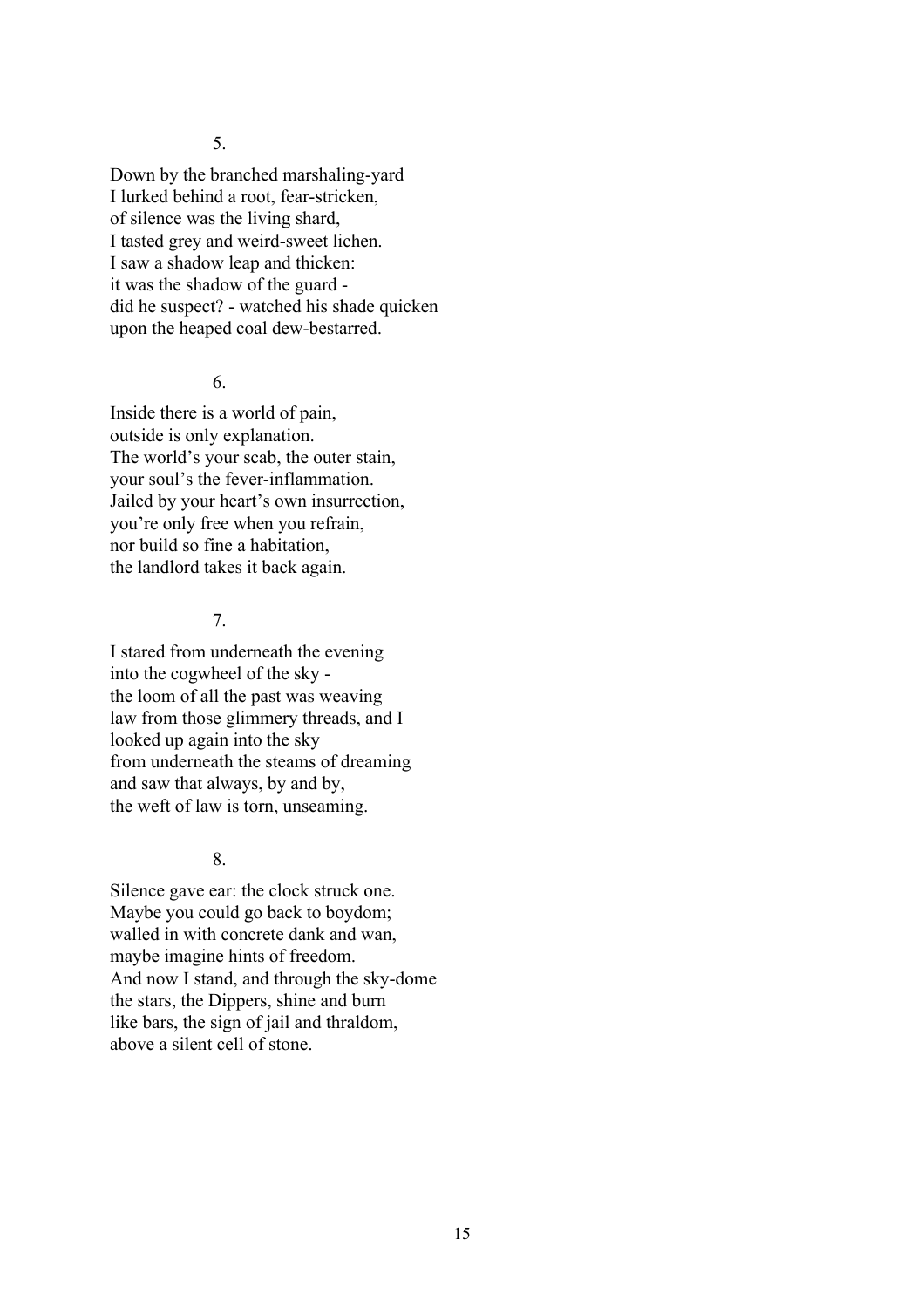5.

Down by the branched marshaling-yard I lurked behind a root, fear-stricken, of silence was the living shard, I tasted grey and weird-sweet lichen. I saw a shadow leap and thicken: it was the shadow of the guard did he suspect? - watched his shade quicken upon the heaped coal dew-bestarred.

#### 6.

Inside there is a world of pain, outside is only explanation. The world's your scab, the outer stain, your soul's the fever-inflammation. Jailed by your heart's own insurrection, you're only free when you refrain, nor build so fine a habitation, the landlord takes it back again.

# 7.

I stared from underneath the evening into the cogwheel of the sky the loom of all the past was weaving law from those glimmery threads, and I looked up again into the sky from underneath the steams of dreaming and saw that always, by and by, the weft of law is torn, unseaming.

# 8.

Silence gave ear: the clock struck one. Maybe you could go back to boydom; walled in with concrete dank and wan, maybe imagine hints of freedom. And now I stand, and through the sky-dome the stars, the Dippers, shine and burn like bars, the sign of jail and thraldom, above a silent cell of stone.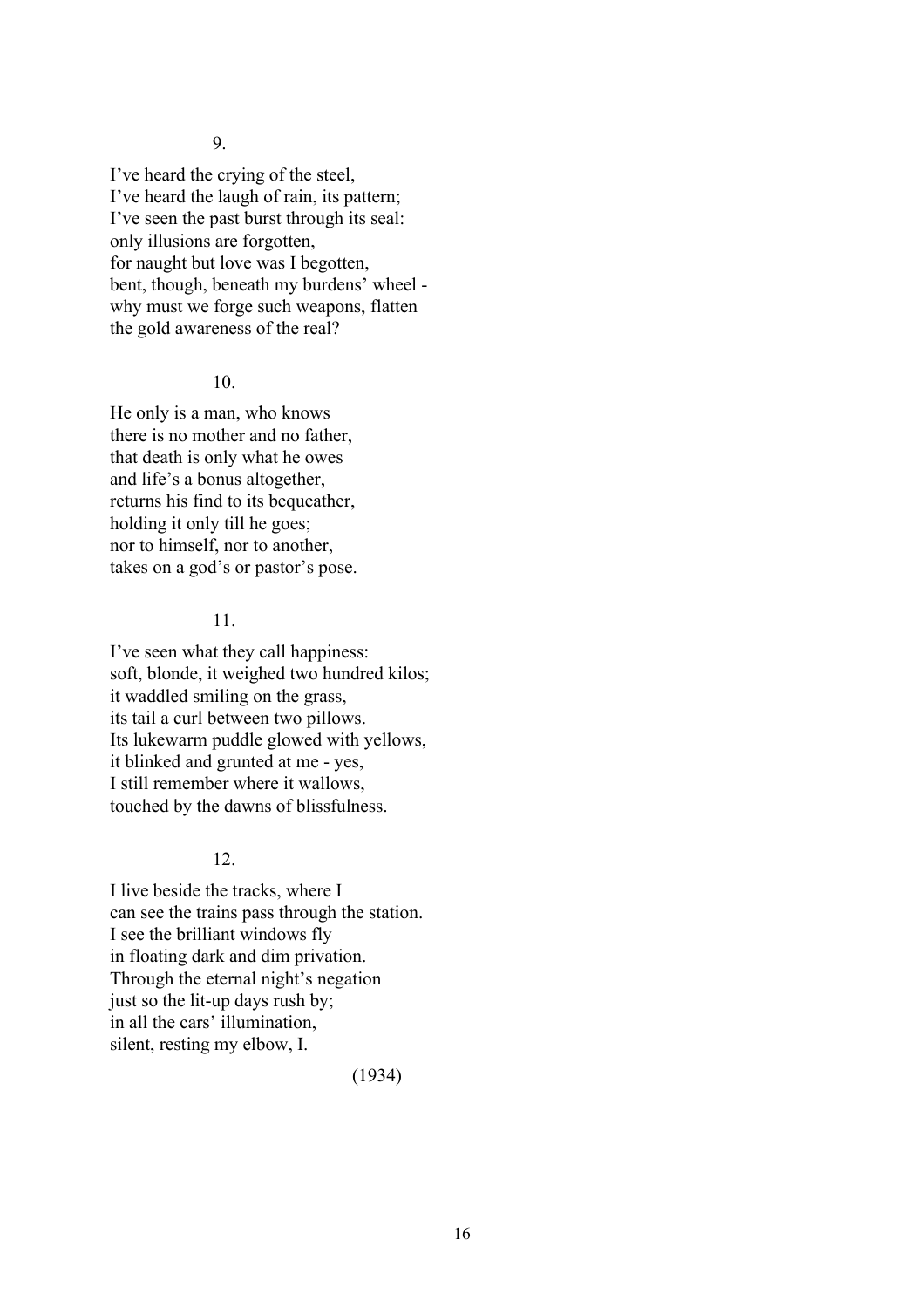9.

I've heard the crying of the steel, I've heard the laugh of rain, its pattern; I've seen the past burst through its seal: only illusions are forgotten, for naught but love was I begotten, bent, though, beneath my burdens' wheel why must we forge such weapons, flatten the gold awareness of the real?

#### 10.

He only is a man, who knows there is no mother and no father, that death is only what he owes and life's a bonus altogether, returns his find to its bequeather, holding it only till he goes; nor to himself, nor to another, takes on a god's or pastor's pose.

# 11.

I've seen what they call happiness: soft, blonde, it weighed two hundred kilos; it waddled smiling on the grass, its tail a curl between two pillows. Its lukewarm puddle glowed with yellows, it blinked and grunted at me - yes, I still remember where it wallows, touched by the dawns of blissfulness.

# 12.

I live beside the tracks, where I can see the trains pass through the station. I see the brilliant windows fly in floating dark and dim privation. Through the eternal night's negation just so the lit-up days rush by: in all the cars' illumination, silent, resting my elbow, I.

(1934)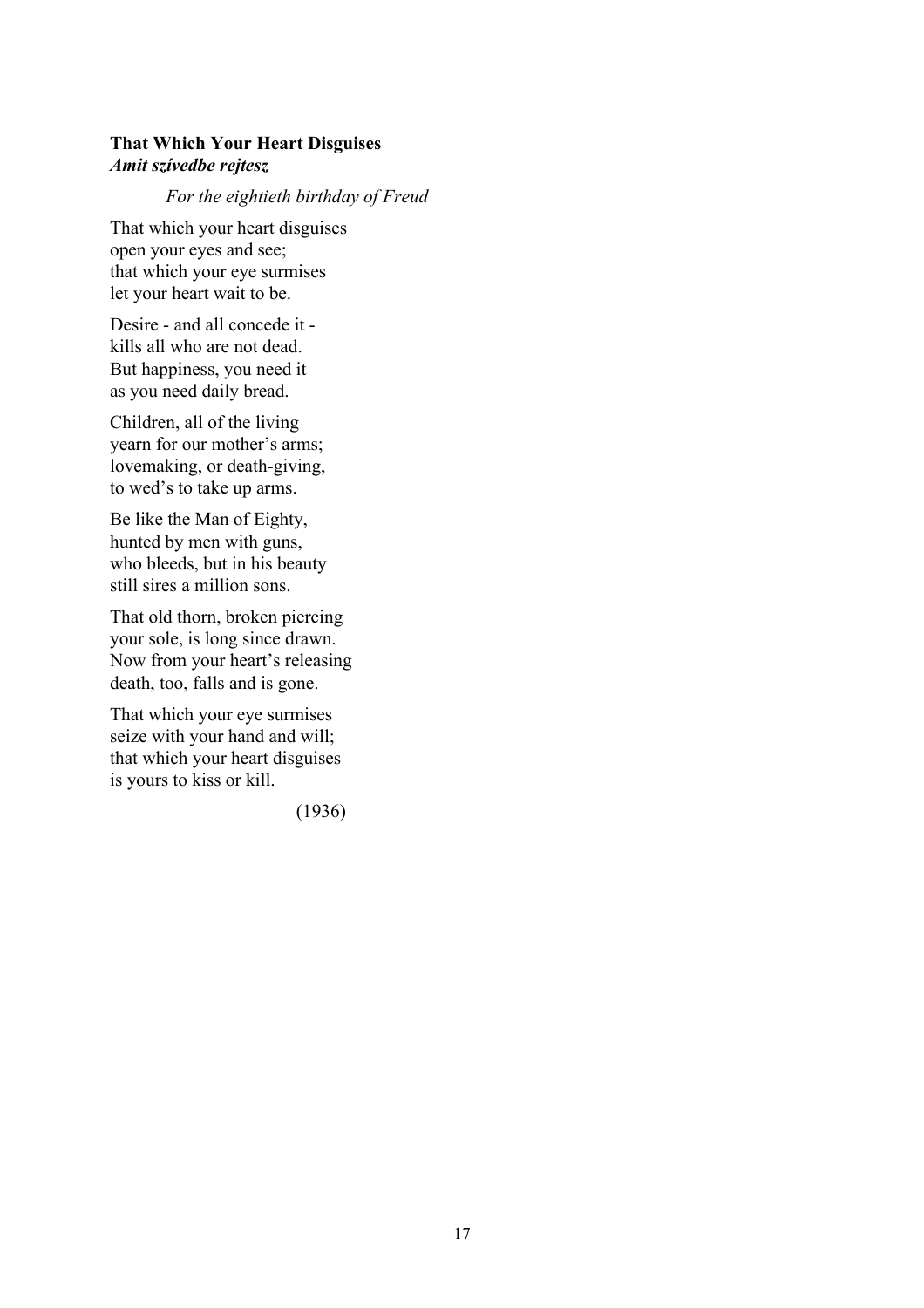# **That Which Your Heart Disguises** *Amit szívedbe rejtesz*

#### *For the eightieth birthday of Freud*

That which your heart disguises open your eyes and see; that which your eye surmises let your heart wait to be.

Desire - and all concede it kills all who are not dead. But happiness, you need it as you need daily bread.

Children, all of the living yearn for our mother's arms; lovemaking, or death-giving, to wed's to take up arms.

Be like the Man of Eighty, hunted by men with guns, who bleeds, but in his beauty still sires a million sons.

That old thorn, broken piercing your sole, is long since drawn. Now from your heart's releasing death, too, falls and is gone.

That which your eye surmises seize with your hand and will; that which your heart disguises is yours to kiss or kill.

(1936)